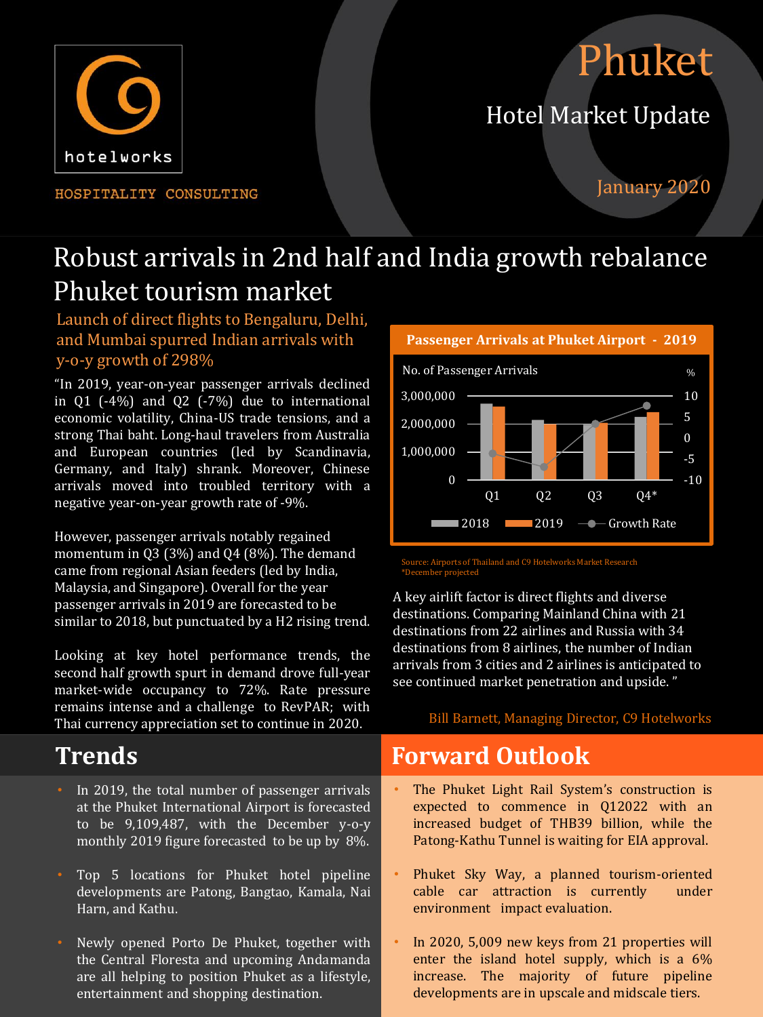# Phuket

# Hotel Market Update



HOSPITALITY CONSULTING

## January 2020

# Robust arrivals in 2nd half and India growth rebalance Phuket tourism market

Launch of direct flights to Bengaluru, Delhi, and Mumbai spurred Indian arrivals with y-o-y growth of 298%

"In 2019, year-on-year passenger arrivals declined in  $\overline{01}$  (-4%) and  $\overline{02}$  (-7%) due to international economic volatility, China-US trade tensions, and a strong Thai baht. Long-haul travelers from Australia and European countries (led by Scandinavia, Germany, and Italy) shrank. Moreover, Chinese arrivals moved into troubled territory with a negative year-on-year growth rate of -9%.

However, passenger arrivals notably regained momentum in Q3 (3%) and Q4 (8%). The demand came from regional Asian feeders (led by India, Malaysia, and Singapore). Overall for the year passenger arrivals in 2019 are forecasted to be similar to 2018, but punctuated by a H2 rising trend.

Looking at key hotel performance trends, the second half growth spurt in demand drove full-year market-wide occupancy to 72%. Rate pressure remains intense and a challenge to RevPAR; with Thai currency appreciation set to continue in 2020.

- In 2019, the total number of passenger arrivals at the Phuket International Airport is forecasted to be 9,109,487, with the December y-o-y monthly 2019 figure forecasted to be up by 8%.
- Top 5 locations for Phuket hotel pipeline developments are Patong, Bangtao, Kamala, Nai Harn, and Kathu.
- Newly opened Porto De Phuket, together with the Central Floresta and upcoming Andamanda are all helping to position Phuket as a lifestyle, entertainment and shopping destination.



te: Airports of Thailand and C9 Hotelworks Market Research \*December projected

A key airlift factor is direct flights and diverse destinations. Comparing Mainland China with 21 destinations from 22 airlines and Russia with 34 destinations from 8 airlines, the number of Indian arrivals from 3 cities and 2 airlines is anticipated to see continued market penetration and upside. "

### Bill Barnett, Managing Director, C9 Hotelworks

# **Trends Forward Outlook**

- The Phuket Light Rail System's construction is expected to commence in Q12022 with an increased budget of THB39 billion, while the Patong-Kathu Tunnel is waiting for EIA approval.
- Phuket Sky Way, a planned tourism-oriented cable car attraction is currently under environment impact evaluation.
- In 2020, 5,009 new keys from 21 properties will enter the island hotel supply, which is a 6% increase. The majority of future pipeline developments are in upscale and midscale tiers.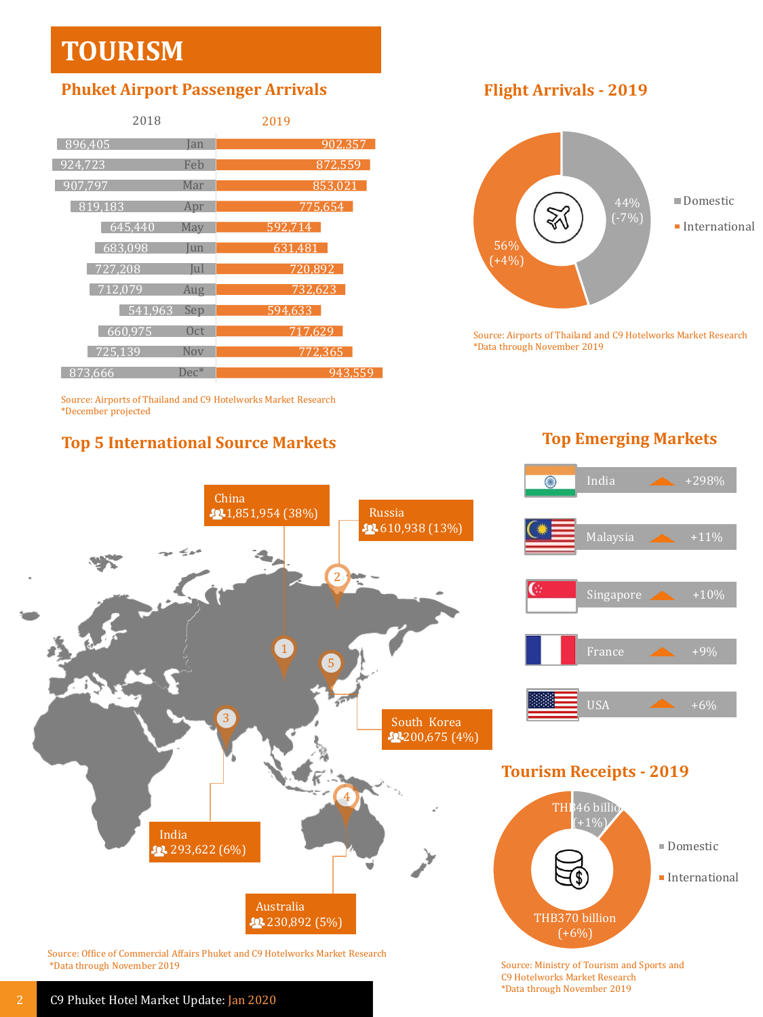# **TOURISM**

### **Phuket Airport Passenger Arrivals Flight Arrivals - 2019**

| 2018              |                 | 2019    |
|-------------------|-----------------|---------|
| 896.405           | Ian             | 902,357 |
| $\sqrt{924}$ ,723 | Feb             | 872.559 |
| 907.797           | Mar             | 853.021 |
| 819,183           | Apr             | 775.654 |
| 645,440           | May             | 592.714 |
| 683.098           | Jun             | 631.481 |
| 727,208           | Jul             | 720,892 |
| 712.079           | Aug             | 732.623 |
| 541.963           | Sep             | 594,633 |
| 660.975           | 0 <sub>ct</sub> | 717.629 |
| 725.139           | Nov             | 772.365 |
| 873.666           | $Dec^*$         | 943,559 |

Source: Airports of Thailand and C9 Hotelworks Market Research \*December projected

# **Top 5 International Source Markets Top Emerging Markets**



Source: Airports of Thailand and C9 Hotelworks Market Research \*Data through November 2019

 $\bigcirc$ 

India  $+298\%$ 



Source: Office of Commercial Affairs Phuket and C9 Hotelworks Market Research \*Data through November 2019







Source: Ministry of Tourism and Sports and C9 Hotelworks Market Research \*Data through November 2019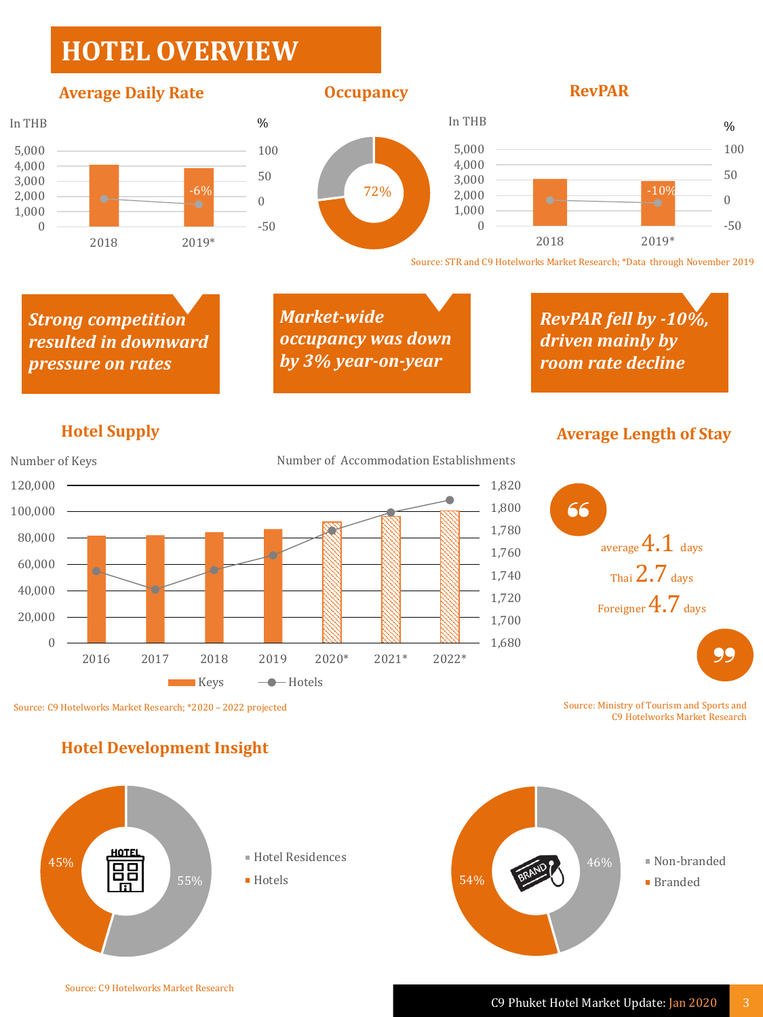# **HOTEL OVERVIEW**

### **Average Daily Rate COCUPANE COCUPANE REVPAR**





72%





Source: STR and C9 Hotelworks Market Research; \*Data through November 2019

*Strong competition resulted in downward pressure on rates*

*Market-wide occupancy was down by 3% year-on-year*

*RevPAR fell by -10%, driven mainly by room rate decline*



## **Hotel Supply Average Length of Stay**



Source: Ministry of Tourism and Sports and C9 Hotelworks Market Research

### **Hotel Development Insight**



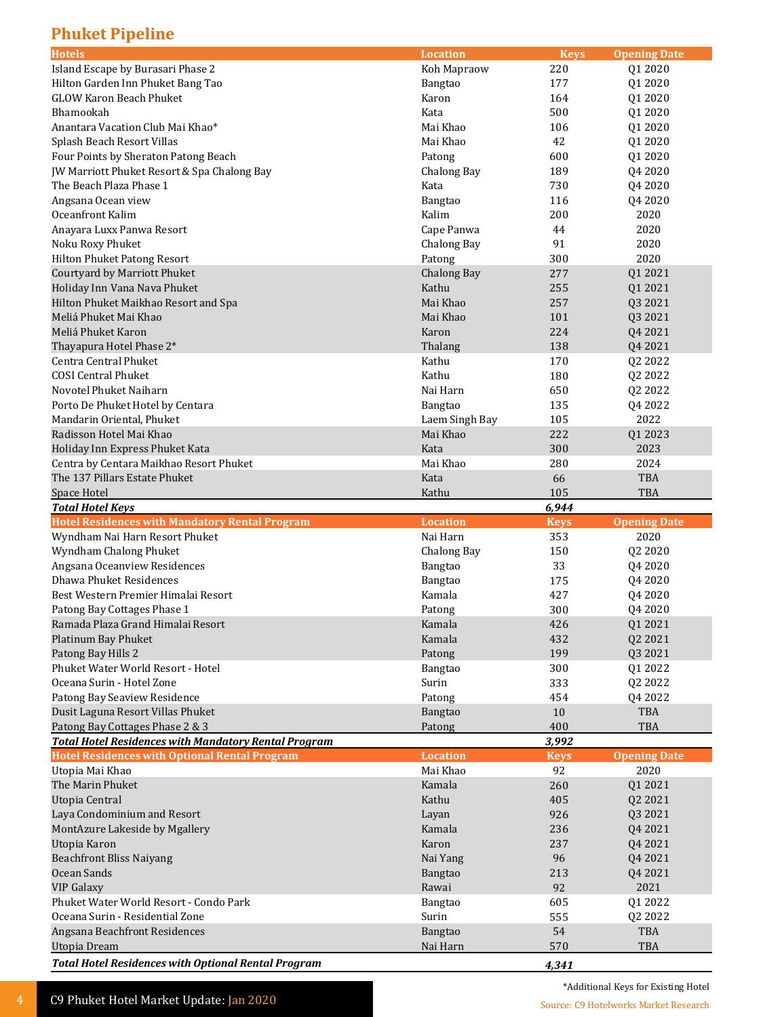### **Phuket Pipeline**

| Island Escape by Burasari Phase 2<br>Koh Mapraow<br>220<br>Q1 2020<br>177<br>Hilton Garden Inn Phuket Bang Tao<br>01 2020<br>Bangtao<br><b>GLOW Karon Beach Phuket</b><br>Karon<br>164<br>Q1 2020<br>Bhamookah<br>Kata<br>500<br>Q1 2020<br>Anantara Vacation Club Mai Khao*<br>Mai Khao<br>106<br>Q1 2020<br>Splash Beach Resort Villas<br>Mai Khao<br>42<br>Q1 2020<br>Four Points by Sheraton Patong Beach<br>600<br>Q1 2020<br>Patong<br>JW Marriott Phuket Resort & Spa Chalong Bay<br>Chalong Bay<br>189<br>Q4 2020<br>The Beach Plaza Phase 1<br>Kata<br>730<br>Q4 2020<br>116<br>Q4 2020<br>Angsana Ocean view<br>Bangtao<br>Oceanfront Kalim<br>Kalim<br>200<br>2020<br>Anayara Luxx Panwa Resort<br>44<br>2020<br>Cape Panwa<br>91<br>Noku Roxy Phuket<br>Chalong Bay<br>2020<br>300<br>Hilton Phuket Patong Resort<br>Patong<br>2020<br>Courtyard by Marriott Phuket<br><b>Chalong Bay</b><br>277<br>Q1 2021<br>Holiday Inn Vana Nava Phuket<br>Kathu<br>255<br>Q1 2021<br>Hilton Phuket Maikhao Resort and Spa<br>Mai Khao<br>257<br>Q3 2021<br>Meliá Phuket Mai Khao<br>Mai Khao<br>Q3 2021<br>101<br>Meliá Phuket Karon<br>Karon<br>224<br>Q4 2021<br>Thalang<br>138<br>Q4 2021<br>Thayapura Hotel Phase 2*<br>Centra Central Phuket<br>Kathu<br>170<br>Q2 2022<br><b>COSI Central Phuket</b><br>Kathu<br>180<br>Q2 2022<br>Novotel Phuket Naiharn<br>Nai Harn<br>650<br>Q2 2022<br>Porto De Phuket Hotel by Centara<br>135<br>Q4 2022<br>Bangtao<br>2022<br>Mandarin Oriental, Phuket<br>Laem Singh Bay<br>105<br>Radisson Hotel Mai Khao<br>Mai Khao<br>222<br>Q1 2023<br>300<br>Holiday Inn Express Phuket Kata<br>Kata<br>2023<br>Centra by Centara Maikhao Resort Phuket<br>Mai Khao<br>280<br>2024<br>The 137 Pillars Estate Phuket<br>Kata<br>66<br><b>TBA</b><br>105<br>Space Hotel<br>Kathu<br>TBA<br>6,944<br><b>Total Hotel Keys</b><br><b>Hotel Residences with Mandatory Rental Program</b><br><b>Location</b><br><b>Keys</b><br><b>Opening Date</b><br>Wyndham Nai Harn Resort Phuket<br>Nai Harn<br>353<br>2020<br>Wyndham Chalong Phuket<br><b>Chalong Bay</b><br>150<br>Q2 2020<br>Angsana Oceanview Residences<br>33<br>Q4 2020<br>Bangtao<br>Dhawa Phuket Residences<br>175<br>Bangtao<br>Q4 2020<br>Best Western Premier Himalai Resort<br>Kamala<br>427<br>Q4 2020<br>Patong Bay Cottages Phase 1<br>Patong<br>300<br>Q4 2020<br>Ramada Plaza Grand Himalai Resort<br>426<br>Q1 2021<br>Kamala<br>Platinum Bay Phuket<br>Kamala<br>432<br>Q2 2021<br>Patong Bay Hills 2<br>199<br>Patong<br>Q3 2021<br>Phuket Water World Resort - Hotel<br>300<br>Q1 2022<br>Bangtao<br>Q2 2022<br>Oceana Surin - Hotel Zone<br>Surin<br>333<br>Patong Bay Seaview Residence<br>454<br>Q4 2022<br>Patong<br>Dusit Laguna Resort Villas Phuket<br>10<br>TBA<br>Bangtao<br>Patong Bay Cottages Phase 2 & 3<br>Patong<br>400<br>TBA<br><b>Total Hotel Residences with Mandatory Rental Program</b><br>3,992<br><b>Hotel Residences with Optional Rental Program</b><br><b>Location</b><br><b>Keys</b><br><b>Opening Date</b><br>92<br>2020<br>Utopia Mai Khao<br>Mai Khao<br>260<br>Q1 2021<br>The Marin Phuket<br>Kamala<br>Utopia Central<br>Kathu<br>405<br>Q2 2021<br>Laya Condominium and Resort<br>926<br>Layan<br>Q3 2021<br>MontAzure Lakeside by Mgallery<br>Kamala<br>236<br>Q4 2021<br>Utopia Karon<br>Karon<br>237<br>Q4 2021<br><b>Beachfront Bliss Naiyang</b><br>96<br>Q4 2021<br>Nai Yang<br>Ocean Sands<br>Bangtao<br>213<br>Q4 2021<br><b>VIP Galaxy</b><br>Rawai<br>92<br>2021<br>Phuket Water World Resort - Condo Park<br>Bangtao<br>605<br>Q1 2022<br>Oceana Surin - Residential Zone<br>Surin<br>555<br>Q2 2022<br>Angsana Beachfront Residences<br>54<br>TBA<br>Bangtao<br><b>Utopia Dream</b><br>TBA<br>Nai Harn<br>570<br><b>Total Hotel Residences with Optional Rental Program</b><br>4,341 | <b>Hotels</b> | <b>Location</b> | <b>Keys</b> | <b>Opening Date</b> |
|------------------------------------------------------------------------------------------------------------------------------------------------------------------------------------------------------------------------------------------------------------------------------------------------------------------------------------------------------------------------------------------------------------------------------------------------------------------------------------------------------------------------------------------------------------------------------------------------------------------------------------------------------------------------------------------------------------------------------------------------------------------------------------------------------------------------------------------------------------------------------------------------------------------------------------------------------------------------------------------------------------------------------------------------------------------------------------------------------------------------------------------------------------------------------------------------------------------------------------------------------------------------------------------------------------------------------------------------------------------------------------------------------------------------------------------------------------------------------------------------------------------------------------------------------------------------------------------------------------------------------------------------------------------------------------------------------------------------------------------------------------------------------------------------------------------------------------------------------------------------------------------------------------------------------------------------------------------------------------------------------------------------------------------------------------------------------------------------------------------------------------------------------------------------------------------------------------------------------------------------------------------------------------------------------------------------------------------------------------------------------------------------------------------------------------------------------------------------------------------------------------------------------------------------------------------------------------------------------------------------------------------------------------------------------------------------------------------------------------------------------------------------------------------------------------------------------------------------------------------------------------------------------------------------------------------------------------------------------------------------------------------------------------------------------------------------------------------------------------------------------------------------------------------------------------------------------------------------------------------------------------------------------------------------------------------------------------------------------------------------------------------------------------------------------------------------------------------------------------------------------------------------------------------------------------------------------------------------------------------------------------------------------------------------------------------------------------------------------------------------------------------------------------------------------------------------------------------|---------------|-----------------|-------------|---------------------|
|                                                                                                                                                                                                                                                                                                                                                                                                                                                                                                                                                                                                                                                                                                                                                                                                                                                                                                                                                                                                                                                                                                                                                                                                                                                                                                                                                                                                                                                                                                                                                                                                                                                                                                                                                                                                                                                                                                                                                                                                                                                                                                                                                                                                                                                                                                                                                                                                                                                                                                                                                                                                                                                                                                                                                                                                                                                                                                                                                                                                                                                                                                                                                                                                                                                                                                                                                                                                                                                                                                                                                                                                                                                                                                                                                                                                                                          |               |                 |             |                     |
|                                                                                                                                                                                                                                                                                                                                                                                                                                                                                                                                                                                                                                                                                                                                                                                                                                                                                                                                                                                                                                                                                                                                                                                                                                                                                                                                                                                                                                                                                                                                                                                                                                                                                                                                                                                                                                                                                                                                                                                                                                                                                                                                                                                                                                                                                                                                                                                                                                                                                                                                                                                                                                                                                                                                                                                                                                                                                                                                                                                                                                                                                                                                                                                                                                                                                                                                                                                                                                                                                                                                                                                                                                                                                                                                                                                                                                          |               |                 |             |                     |
|                                                                                                                                                                                                                                                                                                                                                                                                                                                                                                                                                                                                                                                                                                                                                                                                                                                                                                                                                                                                                                                                                                                                                                                                                                                                                                                                                                                                                                                                                                                                                                                                                                                                                                                                                                                                                                                                                                                                                                                                                                                                                                                                                                                                                                                                                                                                                                                                                                                                                                                                                                                                                                                                                                                                                                                                                                                                                                                                                                                                                                                                                                                                                                                                                                                                                                                                                                                                                                                                                                                                                                                                                                                                                                                                                                                                                                          |               |                 |             |                     |
|                                                                                                                                                                                                                                                                                                                                                                                                                                                                                                                                                                                                                                                                                                                                                                                                                                                                                                                                                                                                                                                                                                                                                                                                                                                                                                                                                                                                                                                                                                                                                                                                                                                                                                                                                                                                                                                                                                                                                                                                                                                                                                                                                                                                                                                                                                                                                                                                                                                                                                                                                                                                                                                                                                                                                                                                                                                                                                                                                                                                                                                                                                                                                                                                                                                                                                                                                                                                                                                                                                                                                                                                                                                                                                                                                                                                                                          |               |                 |             |                     |
|                                                                                                                                                                                                                                                                                                                                                                                                                                                                                                                                                                                                                                                                                                                                                                                                                                                                                                                                                                                                                                                                                                                                                                                                                                                                                                                                                                                                                                                                                                                                                                                                                                                                                                                                                                                                                                                                                                                                                                                                                                                                                                                                                                                                                                                                                                                                                                                                                                                                                                                                                                                                                                                                                                                                                                                                                                                                                                                                                                                                                                                                                                                                                                                                                                                                                                                                                                                                                                                                                                                                                                                                                                                                                                                                                                                                                                          |               |                 |             |                     |
|                                                                                                                                                                                                                                                                                                                                                                                                                                                                                                                                                                                                                                                                                                                                                                                                                                                                                                                                                                                                                                                                                                                                                                                                                                                                                                                                                                                                                                                                                                                                                                                                                                                                                                                                                                                                                                                                                                                                                                                                                                                                                                                                                                                                                                                                                                                                                                                                                                                                                                                                                                                                                                                                                                                                                                                                                                                                                                                                                                                                                                                                                                                                                                                                                                                                                                                                                                                                                                                                                                                                                                                                                                                                                                                                                                                                                                          |               |                 |             |                     |
|                                                                                                                                                                                                                                                                                                                                                                                                                                                                                                                                                                                                                                                                                                                                                                                                                                                                                                                                                                                                                                                                                                                                                                                                                                                                                                                                                                                                                                                                                                                                                                                                                                                                                                                                                                                                                                                                                                                                                                                                                                                                                                                                                                                                                                                                                                                                                                                                                                                                                                                                                                                                                                                                                                                                                                                                                                                                                                                                                                                                                                                                                                                                                                                                                                                                                                                                                                                                                                                                                                                                                                                                                                                                                                                                                                                                                                          |               |                 |             |                     |
|                                                                                                                                                                                                                                                                                                                                                                                                                                                                                                                                                                                                                                                                                                                                                                                                                                                                                                                                                                                                                                                                                                                                                                                                                                                                                                                                                                                                                                                                                                                                                                                                                                                                                                                                                                                                                                                                                                                                                                                                                                                                                                                                                                                                                                                                                                                                                                                                                                                                                                                                                                                                                                                                                                                                                                                                                                                                                                                                                                                                                                                                                                                                                                                                                                                                                                                                                                                                                                                                                                                                                                                                                                                                                                                                                                                                                                          |               |                 |             |                     |
|                                                                                                                                                                                                                                                                                                                                                                                                                                                                                                                                                                                                                                                                                                                                                                                                                                                                                                                                                                                                                                                                                                                                                                                                                                                                                                                                                                                                                                                                                                                                                                                                                                                                                                                                                                                                                                                                                                                                                                                                                                                                                                                                                                                                                                                                                                                                                                                                                                                                                                                                                                                                                                                                                                                                                                                                                                                                                                                                                                                                                                                                                                                                                                                                                                                                                                                                                                                                                                                                                                                                                                                                                                                                                                                                                                                                                                          |               |                 |             |                     |
|                                                                                                                                                                                                                                                                                                                                                                                                                                                                                                                                                                                                                                                                                                                                                                                                                                                                                                                                                                                                                                                                                                                                                                                                                                                                                                                                                                                                                                                                                                                                                                                                                                                                                                                                                                                                                                                                                                                                                                                                                                                                                                                                                                                                                                                                                                                                                                                                                                                                                                                                                                                                                                                                                                                                                                                                                                                                                                                                                                                                                                                                                                                                                                                                                                                                                                                                                                                                                                                                                                                                                                                                                                                                                                                                                                                                                                          |               |                 |             |                     |
|                                                                                                                                                                                                                                                                                                                                                                                                                                                                                                                                                                                                                                                                                                                                                                                                                                                                                                                                                                                                                                                                                                                                                                                                                                                                                                                                                                                                                                                                                                                                                                                                                                                                                                                                                                                                                                                                                                                                                                                                                                                                                                                                                                                                                                                                                                                                                                                                                                                                                                                                                                                                                                                                                                                                                                                                                                                                                                                                                                                                                                                                                                                                                                                                                                                                                                                                                                                                                                                                                                                                                                                                                                                                                                                                                                                                                                          |               |                 |             |                     |
|                                                                                                                                                                                                                                                                                                                                                                                                                                                                                                                                                                                                                                                                                                                                                                                                                                                                                                                                                                                                                                                                                                                                                                                                                                                                                                                                                                                                                                                                                                                                                                                                                                                                                                                                                                                                                                                                                                                                                                                                                                                                                                                                                                                                                                                                                                                                                                                                                                                                                                                                                                                                                                                                                                                                                                                                                                                                                                                                                                                                                                                                                                                                                                                                                                                                                                                                                                                                                                                                                                                                                                                                                                                                                                                                                                                                                                          |               |                 |             |                     |
|                                                                                                                                                                                                                                                                                                                                                                                                                                                                                                                                                                                                                                                                                                                                                                                                                                                                                                                                                                                                                                                                                                                                                                                                                                                                                                                                                                                                                                                                                                                                                                                                                                                                                                                                                                                                                                                                                                                                                                                                                                                                                                                                                                                                                                                                                                                                                                                                                                                                                                                                                                                                                                                                                                                                                                                                                                                                                                                                                                                                                                                                                                                                                                                                                                                                                                                                                                                                                                                                                                                                                                                                                                                                                                                                                                                                                                          |               |                 |             |                     |
|                                                                                                                                                                                                                                                                                                                                                                                                                                                                                                                                                                                                                                                                                                                                                                                                                                                                                                                                                                                                                                                                                                                                                                                                                                                                                                                                                                                                                                                                                                                                                                                                                                                                                                                                                                                                                                                                                                                                                                                                                                                                                                                                                                                                                                                                                                                                                                                                                                                                                                                                                                                                                                                                                                                                                                                                                                                                                                                                                                                                                                                                                                                                                                                                                                                                                                                                                                                                                                                                                                                                                                                                                                                                                                                                                                                                                                          |               |                 |             |                     |
|                                                                                                                                                                                                                                                                                                                                                                                                                                                                                                                                                                                                                                                                                                                                                                                                                                                                                                                                                                                                                                                                                                                                                                                                                                                                                                                                                                                                                                                                                                                                                                                                                                                                                                                                                                                                                                                                                                                                                                                                                                                                                                                                                                                                                                                                                                                                                                                                                                                                                                                                                                                                                                                                                                                                                                                                                                                                                                                                                                                                                                                                                                                                                                                                                                                                                                                                                                                                                                                                                                                                                                                                                                                                                                                                                                                                                                          |               |                 |             |                     |
|                                                                                                                                                                                                                                                                                                                                                                                                                                                                                                                                                                                                                                                                                                                                                                                                                                                                                                                                                                                                                                                                                                                                                                                                                                                                                                                                                                                                                                                                                                                                                                                                                                                                                                                                                                                                                                                                                                                                                                                                                                                                                                                                                                                                                                                                                                                                                                                                                                                                                                                                                                                                                                                                                                                                                                                                                                                                                                                                                                                                                                                                                                                                                                                                                                                                                                                                                                                                                                                                                                                                                                                                                                                                                                                                                                                                                                          |               |                 |             |                     |
|                                                                                                                                                                                                                                                                                                                                                                                                                                                                                                                                                                                                                                                                                                                                                                                                                                                                                                                                                                                                                                                                                                                                                                                                                                                                                                                                                                                                                                                                                                                                                                                                                                                                                                                                                                                                                                                                                                                                                                                                                                                                                                                                                                                                                                                                                                                                                                                                                                                                                                                                                                                                                                                                                                                                                                                                                                                                                                                                                                                                                                                                                                                                                                                                                                                                                                                                                                                                                                                                                                                                                                                                                                                                                                                                                                                                                                          |               |                 |             |                     |
|                                                                                                                                                                                                                                                                                                                                                                                                                                                                                                                                                                                                                                                                                                                                                                                                                                                                                                                                                                                                                                                                                                                                                                                                                                                                                                                                                                                                                                                                                                                                                                                                                                                                                                                                                                                                                                                                                                                                                                                                                                                                                                                                                                                                                                                                                                                                                                                                                                                                                                                                                                                                                                                                                                                                                                                                                                                                                                                                                                                                                                                                                                                                                                                                                                                                                                                                                                                                                                                                                                                                                                                                                                                                                                                                                                                                                                          |               |                 |             |                     |
|                                                                                                                                                                                                                                                                                                                                                                                                                                                                                                                                                                                                                                                                                                                                                                                                                                                                                                                                                                                                                                                                                                                                                                                                                                                                                                                                                                                                                                                                                                                                                                                                                                                                                                                                                                                                                                                                                                                                                                                                                                                                                                                                                                                                                                                                                                                                                                                                                                                                                                                                                                                                                                                                                                                                                                                                                                                                                                                                                                                                                                                                                                                                                                                                                                                                                                                                                                                                                                                                                                                                                                                                                                                                                                                                                                                                                                          |               |                 |             |                     |
|                                                                                                                                                                                                                                                                                                                                                                                                                                                                                                                                                                                                                                                                                                                                                                                                                                                                                                                                                                                                                                                                                                                                                                                                                                                                                                                                                                                                                                                                                                                                                                                                                                                                                                                                                                                                                                                                                                                                                                                                                                                                                                                                                                                                                                                                                                                                                                                                                                                                                                                                                                                                                                                                                                                                                                                                                                                                                                                                                                                                                                                                                                                                                                                                                                                                                                                                                                                                                                                                                                                                                                                                                                                                                                                                                                                                                                          |               |                 |             |                     |
|                                                                                                                                                                                                                                                                                                                                                                                                                                                                                                                                                                                                                                                                                                                                                                                                                                                                                                                                                                                                                                                                                                                                                                                                                                                                                                                                                                                                                                                                                                                                                                                                                                                                                                                                                                                                                                                                                                                                                                                                                                                                                                                                                                                                                                                                                                                                                                                                                                                                                                                                                                                                                                                                                                                                                                                                                                                                                                                                                                                                                                                                                                                                                                                                                                                                                                                                                                                                                                                                                                                                                                                                                                                                                                                                                                                                                                          |               |                 |             |                     |
|                                                                                                                                                                                                                                                                                                                                                                                                                                                                                                                                                                                                                                                                                                                                                                                                                                                                                                                                                                                                                                                                                                                                                                                                                                                                                                                                                                                                                                                                                                                                                                                                                                                                                                                                                                                                                                                                                                                                                                                                                                                                                                                                                                                                                                                                                                                                                                                                                                                                                                                                                                                                                                                                                                                                                                                                                                                                                                                                                                                                                                                                                                                                                                                                                                                                                                                                                                                                                                                                                                                                                                                                                                                                                                                                                                                                                                          |               |                 |             |                     |
|                                                                                                                                                                                                                                                                                                                                                                                                                                                                                                                                                                                                                                                                                                                                                                                                                                                                                                                                                                                                                                                                                                                                                                                                                                                                                                                                                                                                                                                                                                                                                                                                                                                                                                                                                                                                                                                                                                                                                                                                                                                                                                                                                                                                                                                                                                                                                                                                                                                                                                                                                                                                                                                                                                                                                                                                                                                                                                                                                                                                                                                                                                                                                                                                                                                                                                                                                                                                                                                                                                                                                                                                                                                                                                                                                                                                                                          |               |                 |             |                     |
|                                                                                                                                                                                                                                                                                                                                                                                                                                                                                                                                                                                                                                                                                                                                                                                                                                                                                                                                                                                                                                                                                                                                                                                                                                                                                                                                                                                                                                                                                                                                                                                                                                                                                                                                                                                                                                                                                                                                                                                                                                                                                                                                                                                                                                                                                                                                                                                                                                                                                                                                                                                                                                                                                                                                                                                                                                                                                                                                                                                                                                                                                                                                                                                                                                                                                                                                                                                                                                                                                                                                                                                                                                                                                                                                                                                                                                          |               |                 |             |                     |
|                                                                                                                                                                                                                                                                                                                                                                                                                                                                                                                                                                                                                                                                                                                                                                                                                                                                                                                                                                                                                                                                                                                                                                                                                                                                                                                                                                                                                                                                                                                                                                                                                                                                                                                                                                                                                                                                                                                                                                                                                                                                                                                                                                                                                                                                                                                                                                                                                                                                                                                                                                                                                                                                                                                                                                                                                                                                                                                                                                                                                                                                                                                                                                                                                                                                                                                                                                                                                                                                                                                                                                                                                                                                                                                                                                                                                                          |               |                 |             |                     |
|                                                                                                                                                                                                                                                                                                                                                                                                                                                                                                                                                                                                                                                                                                                                                                                                                                                                                                                                                                                                                                                                                                                                                                                                                                                                                                                                                                                                                                                                                                                                                                                                                                                                                                                                                                                                                                                                                                                                                                                                                                                                                                                                                                                                                                                                                                                                                                                                                                                                                                                                                                                                                                                                                                                                                                                                                                                                                                                                                                                                                                                                                                                                                                                                                                                                                                                                                                                                                                                                                                                                                                                                                                                                                                                                                                                                                                          |               |                 |             |                     |
|                                                                                                                                                                                                                                                                                                                                                                                                                                                                                                                                                                                                                                                                                                                                                                                                                                                                                                                                                                                                                                                                                                                                                                                                                                                                                                                                                                                                                                                                                                                                                                                                                                                                                                                                                                                                                                                                                                                                                                                                                                                                                                                                                                                                                                                                                                                                                                                                                                                                                                                                                                                                                                                                                                                                                                                                                                                                                                                                                                                                                                                                                                                                                                                                                                                                                                                                                                                                                                                                                                                                                                                                                                                                                                                                                                                                                                          |               |                 |             |                     |
|                                                                                                                                                                                                                                                                                                                                                                                                                                                                                                                                                                                                                                                                                                                                                                                                                                                                                                                                                                                                                                                                                                                                                                                                                                                                                                                                                                                                                                                                                                                                                                                                                                                                                                                                                                                                                                                                                                                                                                                                                                                                                                                                                                                                                                                                                                                                                                                                                                                                                                                                                                                                                                                                                                                                                                                                                                                                                                                                                                                                                                                                                                                                                                                                                                                                                                                                                                                                                                                                                                                                                                                                                                                                                                                                                                                                                                          |               |                 |             |                     |
|                                                                                                                                                                                                                                                                                                                                                                                                                                                                                                                                                                                                                                                                                                                                                                                                                                                                                                                                                                                                                                                                                                                                                                                                                                                                                                                                                                                                                                                                                                                                                                                                                                                                                                                                                                                                                                                                                                                                                                                                                                                                                                                                                                                                                                                                                                                                                                                                                                                                                                                                                                                                                                                                                                                                                                                                                                                                                                                                                                                                                                                                                                                                                                                                                                                                                                                                                                                                                                                                                                                                                                                                                                                                                                                                                                                                                                          |               |                 |             |                     |
|                                                                                                                                                                                                                                                                                                                                                                                                                                                                                                                                                                                                                                                                                                                                                                                                                                                                                                                                                                                                                                                                                                                                                                                                                                                                                                                                                                                                                                                                                                                                                                                                                                                                                                                                                                                                                                                                                                                                                                                                                                                                                                                                                                                                                                                                                                                                                                                                                                                                                                                                                                                                                                                                                                                                                                                                                                                                                                                                                                                                                                                                                                                                                                                                                                                                                                                                                                                                                                                                                                                                                                                                                                                                                                                                                                                                                                          |               |                 |             |                     |
|                                                                                                                                                                                                                                                                                                                                                                                                                                                                                                                                                                                                                                                                                                                                                                                                                                                                                                                                                                                                                                                                                                                                                                                                                                                                                                                                                                                                                                                                                                                                                                                                                                                                                                                                                                                                                                                                                                                                                                                                                                                                                                                                                                                                                                                                                                                                                                                                                                                                                                                                                                                                                                                                                                                                                                                                                                                                                                                                                                                                                                                                                                                                                                                                                                                                                                                                                                                                                                                                                                                                                                                                                                                                                                                                                                                                                                          |               |                 |             |                     |
|                                                                                                                                                                                                                                                                                                                                                                                                                                                                                                                                                                                                                                                                                                                                                                                                                                                                                                                                                                                                                                                                                                                                                                                                                                                                                                                                                                                                                                                                                                                                                                                                                                                                                                                                                                                                                                                                                                                                                                                                                                                                                                                                                                                                                                                                                                                                                                                                                                                                                                                                                                                                                                                                                                                                                                                                                                                                                                                                                                                                                                                                                                                                                                                                                                                                                                                                                                                                                                                                                                                                                                                                                                                                                                                                                                                                                                          |               |                 |             |                     |
|                                                                                                                                                                                                                                                                                                                                                                                                                                                                                                                                                                                                                                                                                                                                                                                                                                                                                                                                                                                                                                                                                                                                                                                                                                                                                                                                                                                                                                                                                                                                                                                                                                                                                                                                                                                                                                                                                                                                                                                                                                                                                                                                                                                                                                                                                                                                                                                                                                                                                                                                                                                                                                                                                                                                                                                                                                                                                                                                                                                                                                                                                                                                                                                                                                                                                                                                                                                                                                                                                                                                                                                                                                                                                                                                                                                                                                          |               |                 |             |                     |
|                                                                                                                                                                                                                                                                                                                                                                                                                                                                                                                                                                                                                                                                                                                                                                                                                                                                                                                                                                                                                                                                                                                                                                                                                                                                                                                                                                                                                                                                                                                                                                                                                                                                                                                                                                                                                                                                                                                                                                                                                                                                                                                                                                                                                                                                                                                                                                                                                                                                                                                                                                                                                                                                                                                                                                                                                                                                                                                                                                                                                                                                                                                                                                                                                                                                                                                                                                                                                                                                                                                                                                                                                                                                                                                                                                                                                                          |               |                 |             |                     |
|                                                                                                                                                                                                                                                                                                                                                                                                                                                                                                                                                                                                                                                                                                                                                                                                                                                                                                                                                                                                                                                                                                                                                                                                                                                                                                                                                                                                                                                                                                                                                                                                                                                                                                                                                                                                                                                                                                                                                                                                                                                                                                                                                                                                                                                                                                                                                                                                                                                                                                                                                                                                                                                                                                                                                                                                                                                                                                                                                                                                                                                                                                                                                                                                                                                                                                                                                                                                                                                                                                                                                                                                                                                                                                                                                                                                                                          |               |                 |             |                     |
|                                                                                                                                                                                                                                                                                                                                                                                                                                                                                                                                                                                                                                                                                                                                                                                                                                                                                                                                                                                                                                                                                                                                                                                                                                                                                                                                                                                                                                                                                                                                                                                                                                                                                                                                                                                                                                                                                                                                                                                                                                                                                                                                                                                                                                                                                                                                                                                                                                                                                                                                                                                                                                                                                                                                                                                                                                                                                                                                                                                                                                                                                                                                                                                                                                                                                                                                                                                                                                                                                                                                                                                                                                                                                                                                                                                                                                          |               |                 |             |                     |
|                                                                                                                                                                                                                                                                                                                                                                                                                                                                                                                                                                                                                                                                                                                                                                                                                                                                                                                                                                                                                                                                                                                                                                                                                                                                                                                                                                                                                                                                                                                                                                                                                                                                                                                                                                                                                                                                                                                                                                                                                                                                                                                                                                                                                                                                                                                                                                                                                                                                                                                                                                                                                                                                                                                                                                                                                                                                                                                                                                                                                                                                                                                                                                                                                                                                                                                                                                                                                                                                                                                                                                                                                                                                                                                                                                                                                                          |               |                 |             |                     |
|                                                                                                                                                                                                                                                                                                                                                                                                                                                                                                                                                                                                                                                                                                                                                                                                                                                                                                                                                                                                                                                                                                                                                                                                                                                                                                                                                                                                                                                                                                                                                                                                                                                                                                                                                                                                                                                                                                                                                                                                                                                                                                                                                                                                                                                                                                                                                                                                                                                                                                                                                                                                                                                                                                                                                                                                                                                                                                                                                                                                                                                                                                                                                                                                                                                                                                                                                                                                                                                                                                                                                                                                                                                                                                                                                                                                                                          |               |                 |             |                     |
|                                                                                                                                                                                                                                                                                                                                                                                                                                                                                                                                                                                                                                                                                                                                                                                                                                                                                                                                                                                                                                                                                                                                                                                                                                                                                                                                                                                                                                                                                                                                                                                                                                                                                                                                                                                                                                                                                                                                                                                                                                                                                                                                                                                                                                                                                                                                                                                                                                                                                                                                                                                                                                                                                                                                                                                                                                                                                                                                                                                                                                                                                                                                                                                                                                                                                                                                                                                                                                                                                                                                                                                                                                                                                                                                                                                                                                          |               |                 |             |                     |
|                                                                                                                                                                                                                                                                                                                                                                                                                                                                                                                                                                                                                                                                                                                                                                                                                                                                                                                                                                                                                                                                                                                                                                                                                                                                                                                                                                                                                                                                                                                                                                                                                                                                                                                                                                                                                                                                                                                                                                                                                                                                                                                                                                                                                                                                                                                                                                                                                                                                                                                                                                                                                                                                                                                                                                                                                                                                                                                                                                                                                                                                                                                                                                                                                                                                                                                                                                                                                                                                                                                                                                                                                                                                                                                                                                                                                                          |               |                 |             |                     |
|                                                                                                                                                                                                                                                                                                                                                                                                                                                                                                                                                                                                                                                                                                                                                                                                                                                                                                                                                                                                                                                                                                                                                                                                                                                                                                                                                                                                                                                                                                                                                                                                                                                                                                                                                                                                                                                                                                                                                                                                                                                                                                                                                                                                                                                                                                                                                                                                                                                                                                                                                                                                                                                                                                                                                                                                                                                                                                                                                                                                                                                                                                                                                                                                                                                                                                                                                                                                                                                                                                                                                                                                                                                                                                                                                                                                                                          |               |                 |             |                     |
|                                                                                                                                                                                                                                                                                                                                                                                                                                                                                                                                                                                                                                                                                                                                                                                                                                                                                                                                                                                                                                                                                                                                                                                                                                                                                                                                                                                                                                                                                                                                                                                                                                                                                                                                                                                                                                                                                                                                                                                                                                                                                                                                                                                                                                                                                                                                                                                                                                                                                                                                                                                                                                                                                                                                                                                                                                                                                                                                                                                                                                                                                                                                                                                                                                                                                                                                                                                                                                                                                                                                                                                                                                                                                                                                                                                                                                          |               |                 |             |                     |
|                                                                                                                                                                                                                                                                                                                                                                                                                                                                                                                                                                                                                                                                                                                                                                                                                                                                                                                                                                                                                                                                                                                                                                                                                                                                                                                                                                                                                                                                                                                                                                                                                                                                                                                                                                                                                                                                                                                                                                                                                                                                                                                                                                                                                                                                                                                                                                                                                                                                                                                                                                                                                                                                                                                                                                                                                                                                                                                                                                                                                                                                                                                                                                                                                                                                                                                                                                                                                                                                                                                                                                                                                                                                                                                                                                                                                                          |               |                 |             |                     |
|                                                                                                                                                                                                                                                                                                                                                                                                                                                                                                                                                                                                                                                                                                                                                                                                                                                                                                                                                                                                                                                                                                                                                                                                                                                                                                                                                                                                                                                                                                                                                                                                                                                                                                                                                                                                                                                                                                                                                                                                                                                                                                                                                                                                                                                                                                                                                                                                                                                                                                                                                                                                                                                                                                                                                                                                                                                                                                                                                                                                                                                                                                                                                                                                                                                                                                                                                                                                                                                                                                                                                                                                                                                                                                                                                                                                                                          |               |                 |             |                     |
|                                                                                                                                                                                                                                                                                                                                                                                                                                                                                                                                                                                                                                                                                                                                                                                                                                                                                                                                                                                                                                                                                                                                                                                                                                                                                                                                                                                                                                                                                                                                                                                                                                                                                                                                                                                                                                                                                                                                                                                                                                                                                                                                                                                                                                                                                                                                                                                                                                                                                                                                                                                                                                                                                                                                                                                                                                                                                                                                                                                                                                                                                                                                                                                                                                                                                                                                                                                                                                                                                                                                                                                                                                                                                                                                                                                                                                          |               |                 |             |                     |
|                                                                                                                                                                                                                                                                                                                                                                                                                                                                                                                                                                                                                                                                                                                                                                                                                                                                                                                                                                                                                                                                                                                                                                                                                                                                                                                                                                                                                                                                                                                                                                                                                                                                                                                                                                                                                                                                                                                                                                                                                                                                                                                                                                                                                                                                                                                                                                                                                                                                                                                                                                                                                                                                                                                                                                                                                                                                                                                                                                                                                                                                                                                                                                                                                                                                                                                                                                                                                                                                                                                                                                                                                                                                                                                                                                                                                                          |               |                 |             |                     |
|                                                                                                                                                                                                                                                                                                                                                                                                                                                                                                                                                                                                                                                                                                                                                                                                                                                                                                                                                                                                                                                                                                                                                                                                                                                                                                                                                                                                                                                                                                                                                                                                                                                                                                                                                                                                                                                                                                                                                                                                                                                                                                                                                                                                                                                                                                                                                                                                                                                                                                                                                                                                                                                                                                                                                                                                                                                                                                                                                                                                                                                                                                                                                                                                                                                                                                                                                                                                                                                                                                                                                                                                                                                                                                                                                                                                                                          |               |                 |             |                     |
|                                                                                                                                                                                                                                                                                                                                                                                                                                                                                                                                                                                                                                                                                                                                                                                                                                                                                                                                                                                                                                                                                                                                                                                                                                                                                                                                                                                                                                                                                                                                                                                                                                                                                                                                                                                                                                                                                                                                                                                                                                                                                                                                                                                                                                                                                                                                                                                                                                                                                                                                                                                                                                                                                                                                                                                                                                                                                                                                                                                                                                                                                                                                                                                                                                                                                                                                                                                                                                                                                                                                                                                                                                                                                                                                                                                                                                          |               |                 |             |                     |
|                                                                                                                                                                                                                                                                                                                                                                                                                                                                                                                                                                                                                                                                                                                                                                                                                                                                                                                                                                                                                                                                                                                                                                                                                                                                                                                                                                                                                                                                                                                                                                                                                                                                                                                                                                                                                                                                                                                                                                                                                                                                                                                                                                                                                                                                                                                                                                                                                                                                                                                                                                                                                                                                                                                                                                                                                                                                                                                                                                                                                                                                                                                                                                                                                                                                                                                                                                                                                                                                                                                                                                                                                                                                                                                                                                                                                                          |               |                 |             |                     |
|                                                                                                                                                                                                                                                                                                                                                                                                                                                                                                                                                                                                                                                                                                                                                                                                                                                                                                                                                                                                                                                                                                                                                                                                                                                                                                                                                                                                                                                                                                                                                                                                                                                                                                                                                                                                                                                                                                                                                                                                                                                                                                                                                                                                                                                                                                                                                                                                                                                                                                                                                                                                                                                                                                                                                                                                                                                                                                                                                                                                                                                                                                                                                                                                                                                                                                                                                                                                                                                                                                                                                                                                                                                                                                                                                                                                                                          |               |                 |             |                     |
|                                                                                                                                                                                                                                                                                                                                                                                                                                                                                                                                                                                                                                                                                                                                                                                                                                                                                                                                                                                                                                                                                                                                                                                                                                                                                                                                                                                                                                                                                                                                                                                                                                                                                                                                                                                                                                                                                                                                                                                                                                                                                                                                                                                                                                                                                                                                                                                                                                                                                                                                                                                                                                                                                                                                                                                                                                                                                                                                                                                                                                                                                                                                                                                                                                                                                                                                                                                                                                                                                                                                                                                                                                                                                                                                                                                                                                          |               |                 |             |                     |
|                                                                                                                                                                                                                                                                                                                                                                                                                                                                                                                                                                                                                                                                                                                                                                                                                                                                                                                                                                                                                                                                                                                                                                                                                                                                                                                                                                                                                                                                                                                                                                                                                                                                                                                                                                                                                                                                                                                                                                                                                                                                                                                                                                                                                                                                                                                                                                                                                                                                                                                                                                                                                                                                                                                                                                                                                                                                                                                                                                                                                                                                                                                                                                                                                                                                                                                                                                                                                                                                                                                                                                                                                                                                                                                                                                                                                                          |               |                 |             |                     |
|                                                                                                                                                                                                                                                                                                                                                                                                                                                                                                                                                                                                                                                                                                                                                                                                                                                                                                                                                                                                                                                                                                                                                                                                                                                                                                                                                                                                                                                                                                                                                                                                                                                                                                                                                                                                                                                                                                                                                                                                                                                                                                                                                                                                                                                                                                                                                                                                                                                                                                                                                                                                                                                                                                                                                                                                                                                                                                                                                                                                                                                                                                                                                                                                                                                                                                                                                                                                                                                                                                                                                                                                                                                                                                                                                                                                                                          |               |                 |             |                     |
|                                                                                                                                                                                                                                                                                                                                                                                                                                                                                                                                                                                                                                                                                                                                                                                                                                                                                                                                                                                                                                                                                                                                                                                                                                                                                                                                                                                                                                                                                                                                                                                                                                                                                                                                                                                                                                                                                                                                                                                                                                                                                                                                                                                                                                                                                                                                                                                                                                                                                                                                                                                                                                                                                                                                                                                                                                                                                                                                                                                                                                                                                                                                                                                                                                                                                                                                                                                                                                                                                                                                                                                                                                                                                                                                                                                                                                          |               |                 |             |                     |
|                                                                                                                                                                                                                                                                                                                                                                                                                                                                                                                                                                                                                                                                                                                                                                                                                                                                                                                                                                                                                                                                                                                                                                                                                                                                                                                                                                                                                                                                                                                                                                                                                                                                                                                                                                                                                                                                                                                                                                                                                                                                                                                                                                                                                                                                                                                                                                                                                                                                                                                                                                                                                                                                                                                                                                                                                                                                                                                                                                                                                                                                                                                                                                                                                                                                                                                                                                                                                                                                                                                                                                                                                                                                                                                                                                                                                                          |               |                 |             |                     |
|                                                                                                                                                                                                                                                                                                                                                                                                                                                                                                                                                                                                                                                                                                                                                                                                                                                                                                                                                                                                                                                                                                                                                                                                                                                                                                                                                                                                                                                                                                                                                                                                                                                                                                                                                                                                                                                                                                                                                                                                                                                                                                                                                                                                                                                                                                                                                                                                                                                                                                                                                                                                                                                                                                                                                                                                                                                                                                                                                                                                                                                                                                                                                                                                                                                                                                                                                                                                                                                                                                                                                                                                                                                                                                                                                                                                                                          |               |                 |             |                     |
|                                                                                                                                                                                                                                                                                                                                                                                                                                                                                                                                                                                                                                                                                                                                                                                                                                                                                                                                                                                                                                                                                                                                                                                                                                                                                                                                                                                                                                                                                                                                                                                                                                                                                                                                                                                                                                                                                                                                                                                                                                                                                                                                                                                                                                                                                                                                                                                                                                                                                                                                                                                                                                                                                                                                                                                                                                                                                                                                                                                                                                                                                                                                                                                                                                                                                                                                                                                                                                                                                                                                                                                                                                                                                                                                                                                                                                          |               |                 |             |                     |
|                                                                                                                                                                                                                                                                                                                                                                                                                                                                                                                                                                                                                                                                                                                                                                                                                                                                                                                                                                                                                                                                                                                                                                                                                                                                                                                                                                                                                                                                                                                                                                                                                                                                                                                                                                                                                                                                                                                                                                                                                                                                                                                                                                                                                                                                                                                                                                                                                                                                                                                                                                                                                                                                                                                                                                                                                                                                                                                                                                                                                                                                                                                                                                                                                                                                                                                                                                                                                                                                                                                                                                                                                                                                                                                                                                                                                                          |               |                 |             |                     |
|                                                                                                                                                                                                                                                                                                                                                                                                                                                                                                                                                                                                                                                                                                                                                                                                                                                                                                                                                                                                                                                                                                                                                                                                                                                                                                                                                                                                                                                                                                                                                                                                                                                                                                                                                                                                                                                                                                                                                                                                                                                                                                                                                                                                                                                                                                                                                                                                                                                                                                                                                                                                                                                                                                                                                                                                                                                                                                                                                                                                                                                                                                                                                                                                                                                                                                                                                                                                                                                                                                                                                                                                                                                                                                                                                                                                                                          |               |                 |             |                     |
|                                                                                                                                                                                                                                                                                                                                                                                                                                                                                                                                                                                                                                                                                                                                                                                                                                                                                                                                                                                                                                                                                                                                                                                                                                                                                                                                                                                                                                                                                                                                                                                                                                                                                                                                                                                                                                                                                                                                                                                                                                                                                                                                                                                                                                                                                                                                                                                                                                                                                                                                                                                                                                                                                                                                                                                                                                                                                                                                                                                                                                                                                                                                                                                                                                                                                                                                                                                                                                                                                                                                                                                                                                                                                                                                                                                                                                          |               |                 |             |                     |
|                                                                                                                                                                                                                                                                                                                                                                                                                                                                                                                                                                                                                                                                                                                                                                                                                                                                                                                                                                                                                                                                                                                                                                                                                                                                                                                                                                                                                                                                                                                                                                                                                                                                                                                                                                                                                                                                                                                                                                                                                                                                                                                                                                                                                                                                                                                                                                                                                                                                                                                                                                                                                                                                                                                                                                                                                                                                                                                                                                                                                                                                                                                                                                                                                                                                                                                                                                                                                                                                                                                                                                                                                                                                                                                                                                                                                                          |               |                 |             |                     |